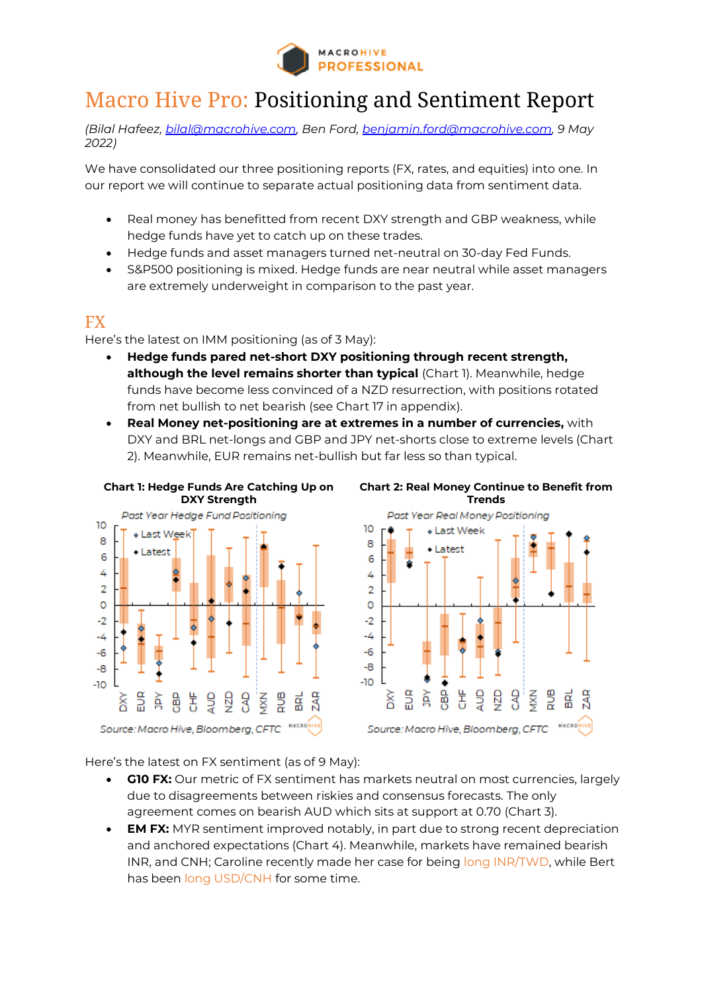

## Macro Hive Pro: Positioning and Sentiment Report

*(Bilal Hafeez, bilal@macrohive.com, Ben Ford, [benjamin.ford@macrohive.com,](mailto:benjamin.ford@macrohive.com) 9 May 2022)*

We have consolidated our three positioning reports (FX, rates, and equities) into one. In our report we will continue to separate actual positioning data from sentiment data.

- Real money has benefitted from recent DXY strength and GBP weakness, while hedge funds have yet to catch up on these trades.
- Hedge funds and asset managers turned net-neutral on 30-day Fed Funds.
- S&P500 positioning is mixed. Hedge funds are near neutral while asset managers are extremely underweight in comparison to the past year.

## FX

Here's the latest on IMM positioning (as of 3 May):

- **Hedge funds pared net-short DXY positioning through recent strength, although the level remains shorter than typical** (Chart 1). Meanwhile, hedge funds have become less convinced of a NZD resurrection, with positions rotated from net bullish to net bearish (see Chart 17 in appendix).
- **Real Money net-positioning are at extremes in a number of currencies,** with DXY and BRL net-longs and GBP and JPY net-shorts close to extreme levels (Chart 2). Meanwhile, EUR remains net-bullish but far less so than typical.





Here's the latest on FX sentiment (as of 9 May):

- **G10 FX:** Our metric of FX sentiment has markets neutral on most currencies, largely due to disagreements between riskies and consensus forecasts. The only agreement comes on bearish AUD which sits at support at 0.70 (Chart 3).
- **EM FX:** MYR sentiment improved notably, in part due to strong recent depreciation and anchored expectations (Chart 4). Meanwhile, markets have remained bearish INR, and CNH; Caroline recently made her case for being [long INR/TWD,](https://macrohive.com/views-analysis/reasons-to-go-long-inr-twd/) while Bert has been [long USD/CNH](https://macrohive.com/views-analysis/stay-short-cny-until-pboc-stops-the-move/) for some time.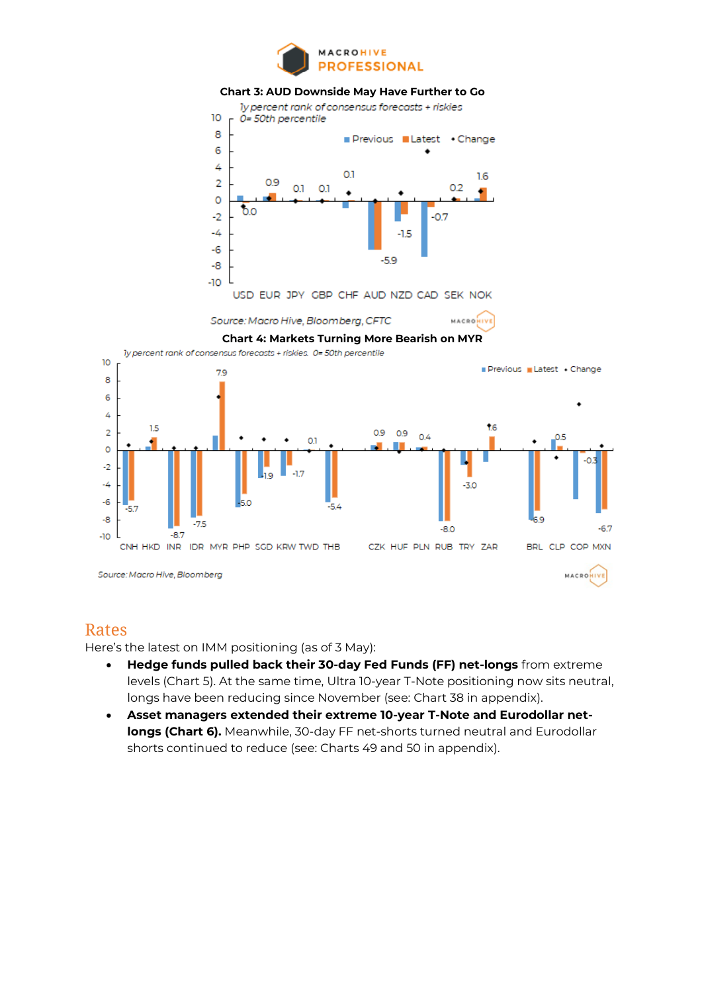

### **Chart 3: AUD Downside May Have Further to Go**



### Rates

Here's the latest on IMM positioning (as of 3 May):

- **Hedge funds pulled back their 30-day Fed Funds (FF) net-longs** from extreme levels (Chart 5). At the same time, Ultra 10-year T-Note positioning now sits neutral, longs have been reducing since November (see: Chart 38 in appendix).
- **Asset managers extended their extreme 10-year T-Note and Eurodollar netlongs (Chart 6).** Meanwhile, 30-day FF net-shorts turned neutral and Eurodollar shorts continued to reduce (see: Charts 49 and 50 in appendix).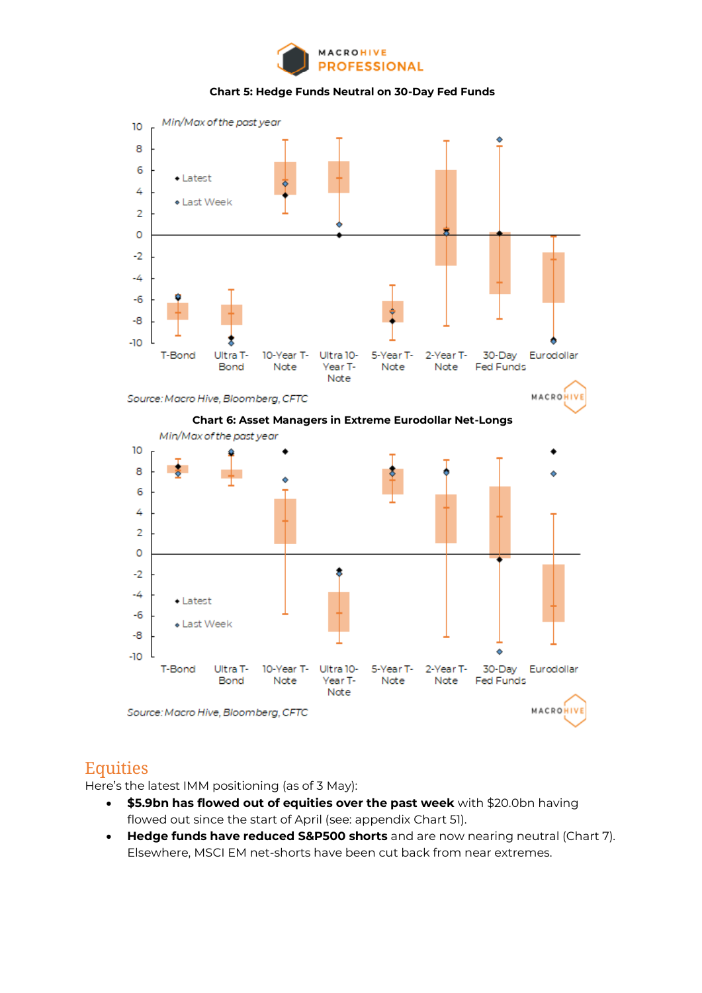

**Chart 5: Hedge Funds Neutral on 30-Day Fed Funds**



Source: Macro Hive, Bloomberg, CFTC







## **Equities**

Here's the latest IMM positioning (as of 3 May):

- **\$5.9bn has flowed out of equities over the past week** with \$20.0bn having flowed out since the start of April (see: appendix Chart 51).
- **Hedge funds have reduced S&P500 shorts** and are now nearing neutral (Chart 7). Elsewhere, MSCI EM net-shorts have been cut back from near extremes.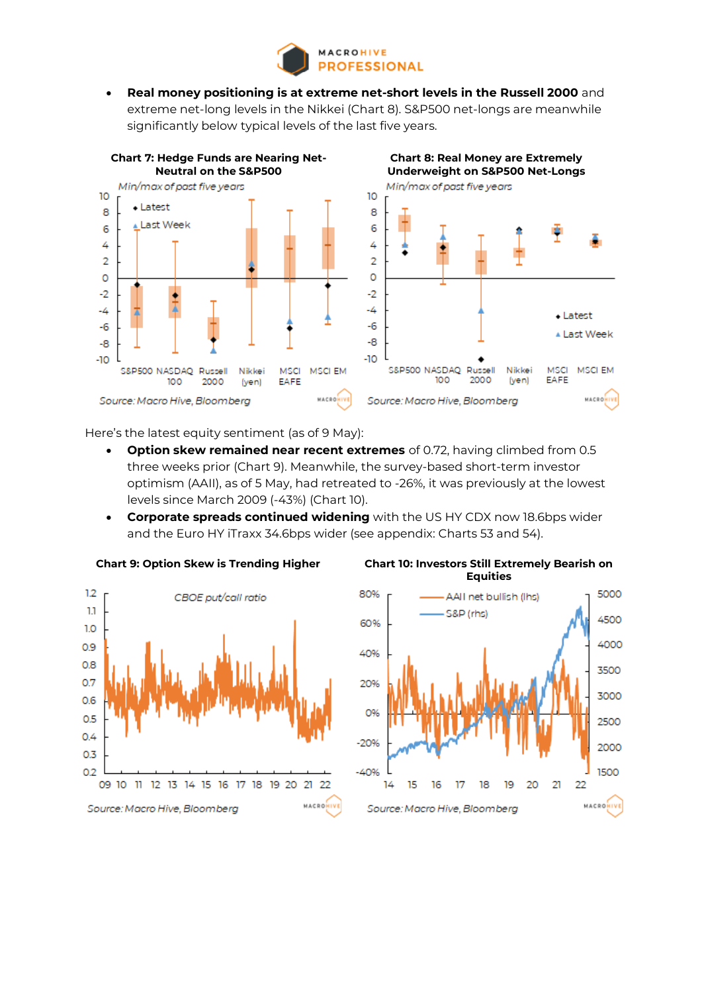

• **Real money positioning is at extreme net-short levels in the Russell 2000** and extreme net-long levels in the Nikkei (Chart 8). S&P500 net-longs are meanwhile significantly below typical levels of the last five years.



Here's the latest equity sentiment (as of 9 May):

- **Option skew remained near recent extremes** of 0.72, having climbed from 0.5 three weeks prior (Chart 9). Meanwhile, the survey-based short-term investor optimism (AAII), as of 5 May, had retreated to -26%, it was previously at the lowest levels since March 2009 (-43%) (Chart 10).
- **Corporate spreads continued widening** with the US HY CDX now 18.6bps wider and the Euro HY iTraxx 34.6bps wider (see appendix: Charts 53 and 54).





### **Chart 9: Option Skew is Trending Higher Chart 10: Investors Still Extremely Bearish on Equities**

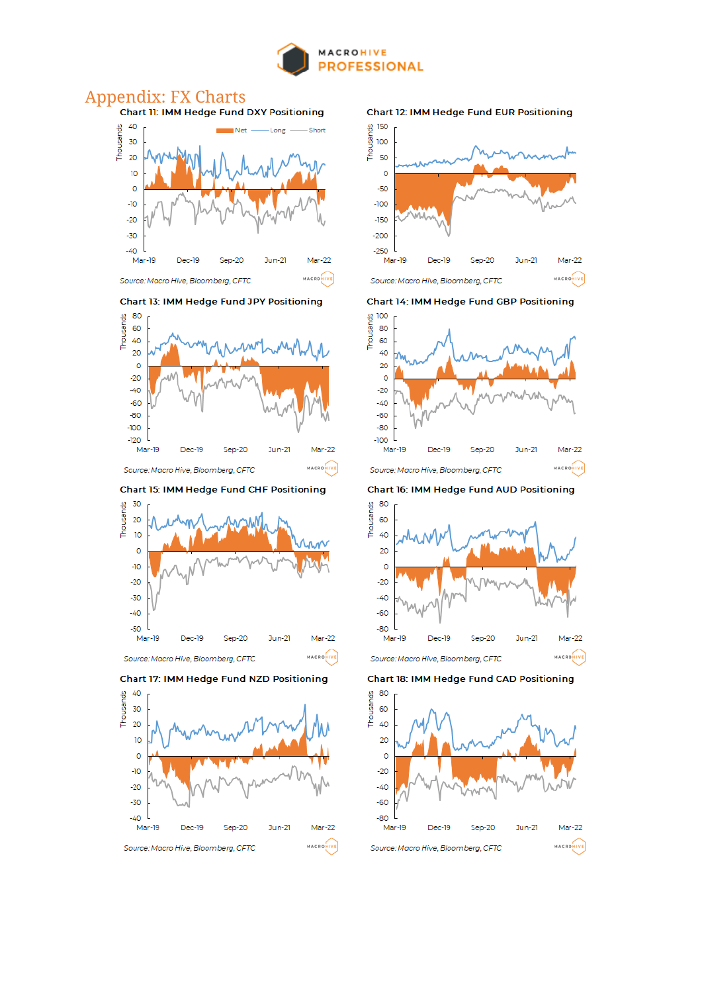

# Appendix: FX Charts<br>Chart 11: IMM Hedge Fund DXY Positioning



Chart 13: IMM Hedge Fund JPY Positioning



Chart 15: IMM Hedge Fund CHF Positioning









Chart 14: IMM Hedge Fund GBP Positioning



Chart 16: IMM Hedge Fund AUD Positioning



Chart 18: IMM Hedge Fund CAD Positioning

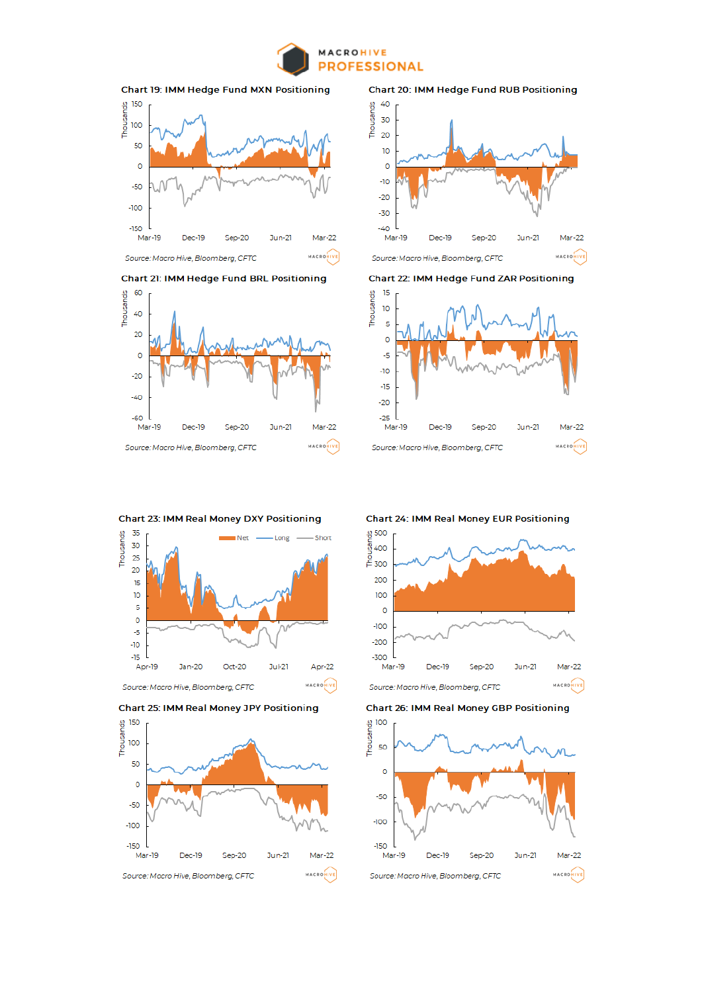





**Chart 21: IMM Hedge Fund BRL Positioning** 







Chart 23: IMM Real Money DXY Positioning







**Chart 24: IMM Real Money EUR Positioning** 



**Chart 26: IMM Real Money GBP Positioning** 



**Chart 20: IMM Hedge Fund RUB Positioning**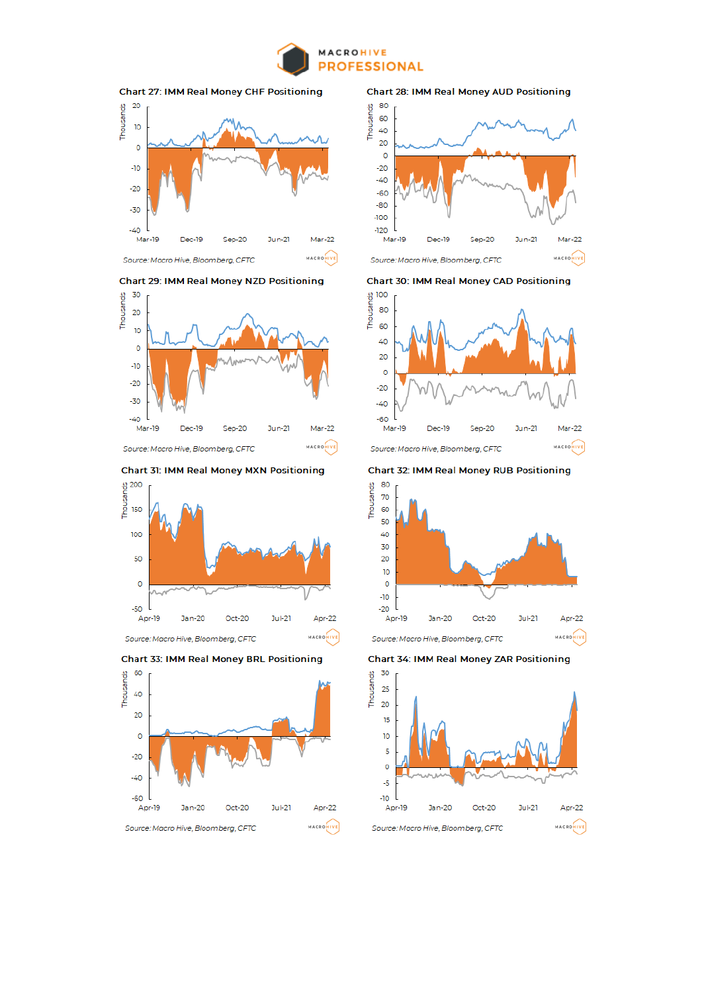



MACROMIVE Source: Macro Hive, Bloomberg, CFTC

**Chart 29: IMM Real Money NZD Positioning** 



**Chart 31: IMM Real Money MXN Positioning** 







**Chart 28: IMM Real Money AUD Positioning** 



**Chart 30: IMM Real Money CAD Positioning** 



**Chart 32: IMM Real Money RUB Positioning** 



**Chart 34: IMM Real Money ZAR Positioning** 

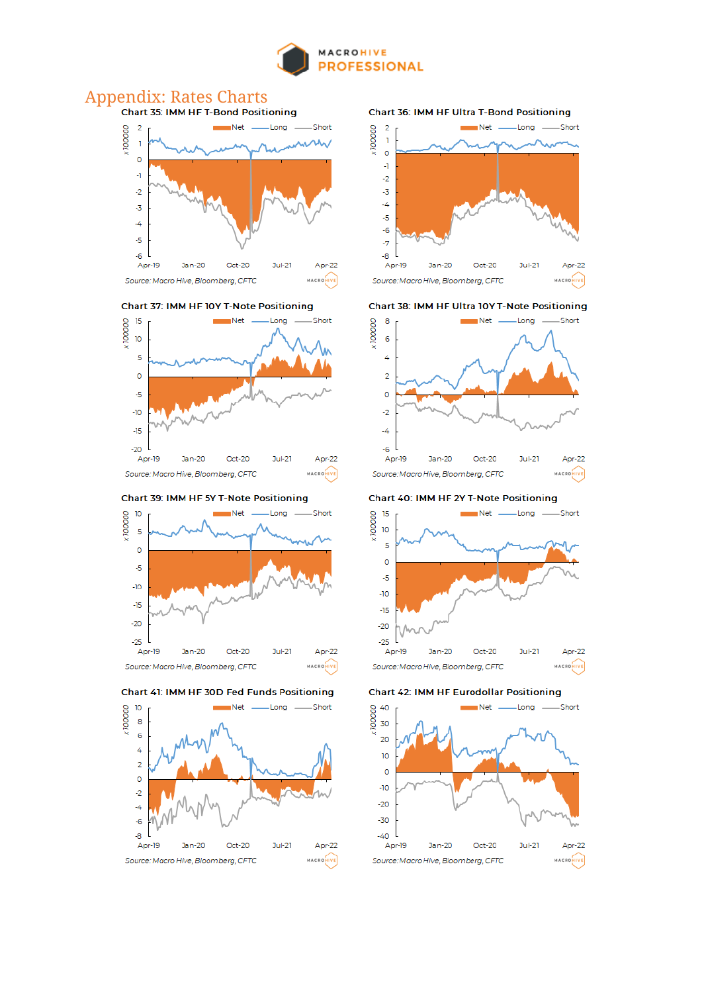

# Appendix: Rates Charts<br>Chart 35: IMM HF T-Bond Positioning



Chart 37: IMM HF 10Y T-Note Positioning



Chart 39: IMM HF 5Y T-Note Positioning







**Chart 36: IMM HF Ultra T-Bond Positioning** 



#### Chart 38: IMM HF Ultra 10Y T-Note Positioning



Chart 40: IMM HF 2Y T-Note Positioning



**Chart 42: IMM HF Eurodollar Positioning** 

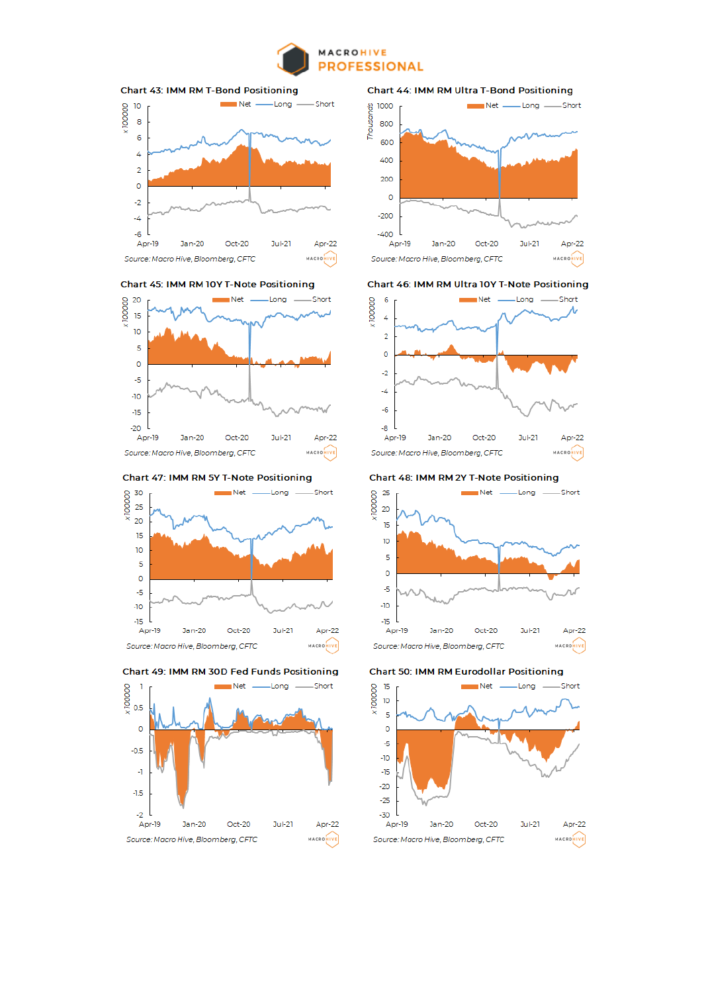





Chart 45: IMM RM 10Y T-Note Positioning



Chart 47: IMM RM 5Y T-Note Positioning



Chart 49: IMM RM 30D Fed Funds Positioning



**Chart 44: IMM RM Ultra T-Bond Positioning** 



#### Chart 46: IMM RM Ultra 10Y T-Note Positioning



### Chart 48: IMM RM 2Y T-Note Positioning



#### **Chart 50: IMM RM Eurodollar Positioning**